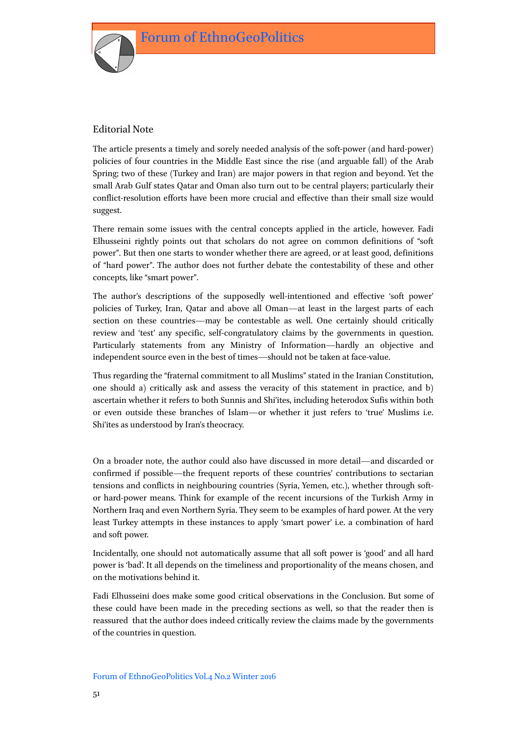

## Editorial Note

The article presents a timely and sorely needed analysis of the soft-power (and hard-power) policies of four countries in the Middle East since the rise (and arguable fall) of the Arab Spring; two of these (Turkey and Iran) are major powers in that region and beyond. Yet the small Arab Gulf states Qatar and Oman also turn out to be central players; particularly their conflict-resolution efforts have been more crucial and effective than their small size would suggest.

There remain some issues with the central concepts applied in the article, however. Fadi Elhusseini rightly points out that scholars do not agree on common definitions of "soft power". But then one starts to wonder whether there are agreed, or at least good, definitions of "hard power". The author does not further debate the contestability of these and other concepts, like "smart power".

The author's descriptions of the supposedly well-intentioned and effective 'soft power' policies of Turkey, Iran, Qatar and above all Oman—at least in the largest parts of each section on these countries—may be contestable as well. One certainly should critically review and 'test' any specific, self-congratulatory claims by the governments in question. Particularly statements from any Ministry of Information—hardly an objective and independent source even in the best of times—should not be taken at face-value.

Thus regarding the "fraternal commitment to all Muslims" stated in the Iranian Constitution, one should a) critically ask and assess the veracity of this statement in practice, and b) ascertain whether it refers to both Sunnis and Shi'ites, including heterodox Sufis within both or even outside these branches of Islam—or whether it just refers to 'true' Muslims i.e. Shi'ites as understood by Iran's theocracy.

On a broader note, the author could also have discussed in more detail—and discarded or confirmed if possible—the frequent reports of these countries' contributions to sectarian tensions and conflicts in neighbouring countries (Syria, Yemen, etc.), whether through softor hard-power means. Think for example of the recent incursions of the Turkish Army in Northern Iraq and even Northern Syria. They seem to be examples of hard power. At the very least Turkey attempts in these instances to apply 'smart power' i.e. a combination of hard and soft power.

Incidentally, one should not automatically assume that all soft power is 'good' and all hard power is 'bad'. It all depends on the timeliness and proportionality of the means chosen, and on the motivations behind it.

Fadi Elhusseini does make some good critical observations in the Conclusion. But some of these could have been made in the preceding sections as well, so that the reader then is reassured that the author does indeed critically review the claims made by the governments of the countries in question.